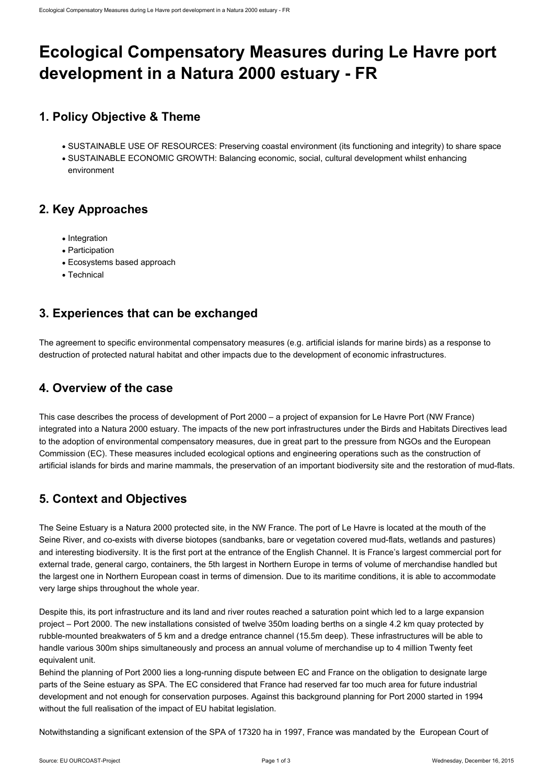# **Ecological Compensatory Measures during Le Havre port development in a Natura 2000 estuary - FR**

# **1. Policy Objective & Theme**

- SUSTAINABLE USE OF RESOURCES: Preserving coastal environment (its functioning and integrity) to share space
- SUSTAINABLE ECONOMIC GROWTH: Balancing economic, social, cultural development whilst enhancing environment

# **2. Key Approaches**

- Integration
- Participation
- Ecosystems based approach
- Technical

# **3. Experiences that can be exchanged**

The agreement to specific environmental compensatory measures (e.g. artificial islands for marine birds) as a response to destruction of protected natural habitat and other impacts due to the development of economic infrastructures.

# **4. Overview of the case**

This case describes the process of development of Port 2000 – a project of expansion for Le Havre Port (NW France) integrated into a Natura 2000 estuary. The impacts of the new port infrastructures under the Birds and Habitats Directives lead to the adoption of environmental compensatory measures, due in great part to the pressure from NGOs and the European Commission (EC). These measures included ecological options and engineering operations such as the construction of artificial islands for birds and marine mammals, the preservation of an important biodiversity site and the restoration of mud-flats.

# **5. Context and Objectives**

The Seine Estuary is a Natura 2000 protected site, in the NW France. The port of Le Havre is located at the mouth of the Seine River, and co-exists with diverse biotopes (sandbanks, bare or vegetation covered mud-flats, wetlands and pastures) and interesting biodiversity. It is the first port at the entrance of the English Channel. It is France's largest commercial port for external trade, general cargo, containers, the 5th largest in Northern Europe in terms of volume of merchandise handled but the largest one in Northern European coast in terms of dimension. Due to its maritime conditions, it is able to accommodate very large ships throughout the whole year.

Despite this, its port infrastructure and its land and river routes reached a saturation point which led to a large expansion project – Port 2000. The new installations consisted of twelve 350m loading berths on a single 4.2 km quay protected by rubble-mounted breakwaters of 5 km and a dredge entrance channel (15.5m deep). These infrastructures will be able to handle various 300m ships simultaneously and process an annual volume of merchandise up to 4 million Twenty feet equivalent unit.

Behind the planning of Port 2000 lies a long-running dispute between EC and France on the obligation to designate large parts of the Seine estuary as SPA. The EC considered that France had reserved far too much area for future industrial development and not enough for conservation purposes. Against this background planning for Port 2000 started in 1994 without the full realisation of the impact of EU habitat legislation.

Notwithstanding a significant extension of the SPA of 17320 ha in 1997, France was mandated by the European Court of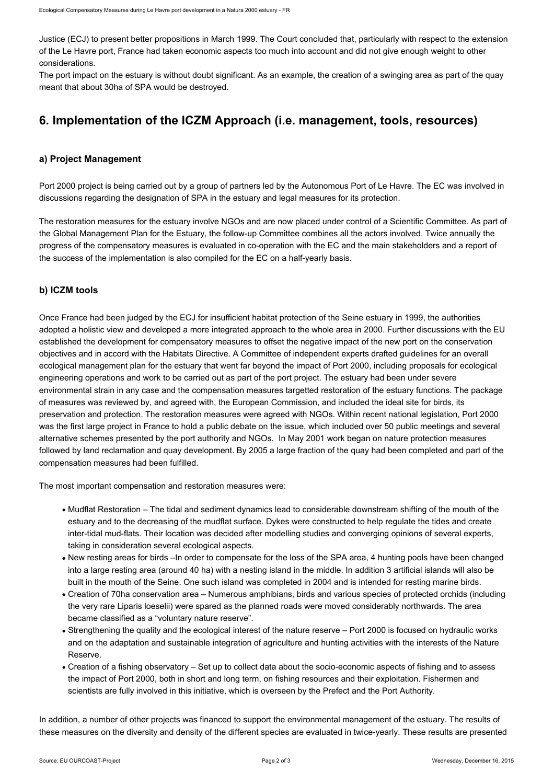Justice (ECJ) to present better propositions in March 1999. The Court concluded that, particularly with respect to the extension of the Le Havre port, France had taken economic aspects too much into account and did not give enough weight to other considerations.

The port impact on the estuary is without doubt significant. As an example, the creation of a swinging area as part of the quay meant that about 30ha of SPA would be destroyed.

# **6. Implementation of the ICZM Approach (i.e. management, tools, resources)**

#### **a) Project Management**

Port 2000 project is being carried out by a group of partners led by the Autonomous Port of Le Havre. The EC was involved in discussions regarding the designation of SPA in the estuary and legal measures for its protection.

The restoration measures for the estuary involve NGOs and are now placed under control of a Scientific Committee. As part of the Global Management Plan for the Estuary, the follow-up Committee combines all the actors involved. Twice annually the progress of the compensatory measures is evaluated in co-operation with the EC and the main stakeholders and a report of the success of the implementation is also compiled for the EC on a half-yearly basis.

#### **b) ICZM tools**

Once France had been judged by the ECJ for insufficient habitat protection of the Seine estuary in 1999, the authorities adopted a holistic view and developed a more integrated approach to the whole area in 2000. Further discussions with the EU established the development for compensatory measures to offset the negative impact of the new port on the conservation objectives and in accord with the Habitats Directive. A Committee of independent experts drafted guidelines for an overall ecological management plan for the estuary that went far beyond the impact of Port 2000, including proposals for ecological engineering operations and work to be carried out as part of the port project. The estuary had been under severe environmental strain in any case and the compensation measures targetted restoration of the estuary functions. The package of measures was reviewed by, and agreed with, the European Commission, and included the ideal site for birds, its preservation and protection. The restoration measures were agreed with NGOs. Within recent national legislation, Port 2000 was the first large project in France to hold a public debate on the issue, which included over 50 public meetings and several alternative schemes presented by the port authority and NGOs. In May 2001 work began on nature protection measures followed by land reclamation and quay development. By 2005 a large fraction of the quay had been completed and part of the compensation measures had been fulfilled.

The most important compensation and restoration measures were:

- Mudflat Restoration The tidal and sediment dynamics lead to considerable downstream shifting of the mouth of the estuary and to the decreasing of the mudflat surface. Dykes were constructed to help regulate the tides and create inter-tidal mud-flats. Their location was decided after modelling studies and converging opinions of several experts, taking in consideration several ecological aspects.
- New resting areas for birds –In order to compensate for the loss of the SPA area, 4 hunting pools have been changed into a large resting area (around 40 ha) with a nesting island in the middle. In addition 3 artificial islands will also be built in the mouth of the Seine. One such island was completed in 2004 and is intended for resting marine birds.
- Creation of 70ha conservation area Numerous amphibians, birds and various species of protected orchids (including the very rare Liparis loeselii) were spared as the planned roads were moved considerably northwards. The area became classified as a "voluntary nature reserve".
- Strengthening the quality and the ecological interest of the nature reserve Port 2000 is focused on hydraulic works and on the adaptation and sustainable integration of agriculture and hunting activities with the interests of the Nature Reserve.
- Creation of a fishing observatory Set up to collect data about the socio-economic aspects of fishing and to assess the impact of Port 2000, both in short and long term, on fishing resources and their exploitation. Fishermen and scientists are fully involved in this initiative, which is overseen by the Prefect and the Port Authority.

In addition, a number of other projects was financed to support the environmental management of the estuary. The results of these measures on the diversity and density of the different species are evaluated in twice-yearly. These results are presented